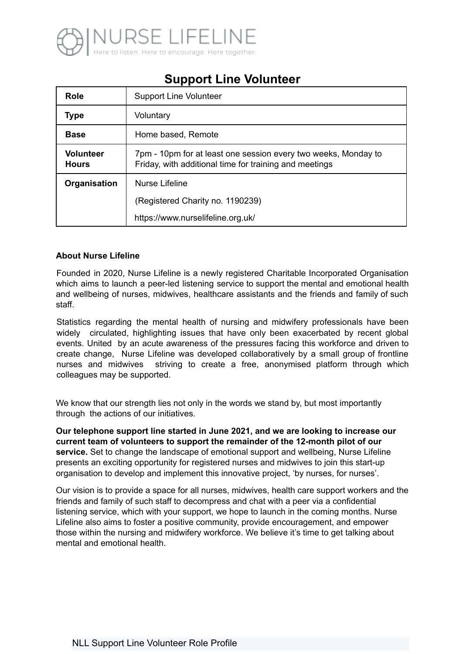

# **Support Line Volunteer**

| Role                             | <b>Support Line Volunteer</b>                                                                                            |
|----------------------------------|--------------------------------------------------------------------------------------------------------------------------|
| <b>Type</b>                      | Voluntary                                                                                                                |
| <b>Base</b>                      | Home based, Remote                                                                                                       |
| <b>Volunteer</b><br><b>Hours</b> | 7pm - 10pm for at least one session every two weeks, Monday to<br>Friday, with additional time for training and meetings |
| Organisation                     | Nurse Lifeline                                                                                                           |
|                                  | (Registered Charity no. 1190239)                                                                                         |
|                                  | https://www.nurselifeline.org.uk/                                                                                        |

### **About Nurse Lifeline**

Founded in 2020, Nurse Lifeline is a newly registered Charitable Incorporated Organisation which aims to launch a peer-led listening service to support the mental and emotional health and wellbeing of nurses, midwives, healthcare assistants and the friends and family of such staff.

Statistics regarding the mental health of nursing and midwifery professionals have been widely circulated, highlighting issues that have only been exacerbated by recent global events. United by an acute awareness of the pressures facing this workforce and driven to create change, Nurse Lifeline was developed collaboratively by a small group of frontline nurses and midwives striving to create a free, anonymised platform through which colleagues may be supported.

We know that our strength lies not only in the words we stand by, but most importantly through the actions of our initiatives.

**Our telephone support line started in June 2021, and we are looking to increase our current team of volunteers to support the remainder of the 12-month pilot of our service.** Set to change the landscape of emotional support and wellbeing, Nurse Lifeline presents an exciting opportunity for registered nurses and midwives to join this start-up organisation to develop and implement this innovative project, 'by nurses, for nurses'.

Our vision is to provide a space for all nurses, midwives, health care support workers and the friends and family of such staff to decompress and chat with a peer via a confidential listening service, which with your support, we hope to launch in the coming months. Nurse Lifeline also aims to foster a positive community, provide encouragement, and empower those within the nursing and midwifery workforce. We believe it's time to get talking about mental and emotional health.